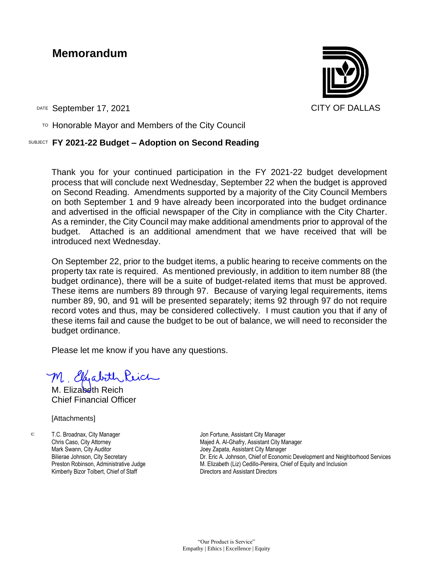## **Memorandum**



DATE September 17, 2021 CITY OF DALLAS

 $T$ <sup>O</sup> Honorable Mayor and Members of the City Council

## SUBJECT **FY 2021-22 Budget – Adoption on Second Reading**

Thank you for your continued participation in the FY 2021-22 budget development process that will conclude next Wednesday, September 22 when the budget is approved on Second Reading. Amendments supported by a majority of the City Council Members on both September 1 and 9 have already been incorporated into the budget ordinance and advertised in the official newspaper of the City in compliance with the City Charter. As a reminder, the City Council may make additional amendments prior to approval of the budget. Attached is an additional amendment that we have received that will be introduced next Wednesday.

On September 22, prior to the budget items, a public hearing to receive comments on the property tax rate is required. As mentioned previously, in addition to item number 88 (the budget ordinance), there will be a suite of budget-related items that must be approved. These items are numbers 89 through 97. Because of varying legal requirements, items number 89, 90, and 91 will be presented separately; items 92 through 97 do not require record votes and thus, may be considered collectively. I must caution you that if any of these items fail and cause the budget to be out of balance, we will need to reconsider the budget ordinance.

Please let me know if you have any questions.

M Eliabith

M. Flizabeth Reich Chief Financial Officer

[Attachments]

c: T.C. Broadnax, City Manager Chris Caso, City Attorney Mark Swann, City Auditor Bilierae Johnson, City Secretary Preston Robinson, Administrative Judge Kimberly Bizor Tolbert, Chief of Staff

Jon Fortune, Assistant City Manager Majed A. Al-Ghafry, Assistant City Manager Joey Zapata, Assistant City Manager Dr. Eric A. Johnson, Chief of Economic Development and Neighborhood Services M. Elizabeth (Liz) Cedillo-Pereira, Chief of Equity and Inclusion Directors and Assistant Directors